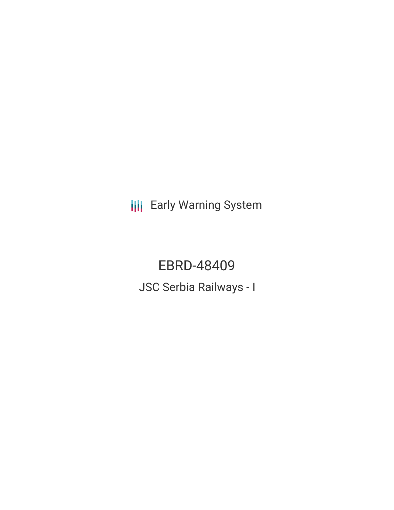**III** Early Warning System

EBRD-48409 JSC Serbia Railways - I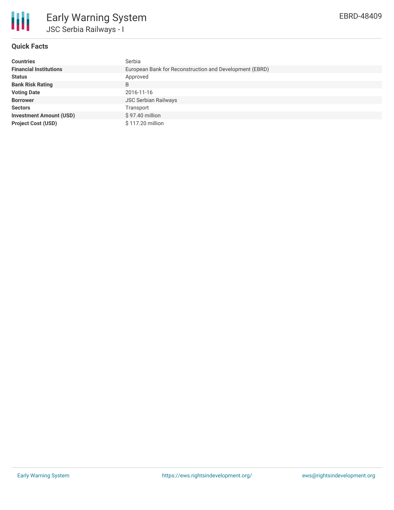

## **Quick Facts**

| <b>Countries</b>               | Serbia                                                  |
|--------------------------------|---------------------------------------------------------|
| <b>Financial Institutions</b>  | European Bank for Reconstruction and Development (EBRD) |
| <b>Status</b>                  | Approved                                                |
| <b>Bank Risk Rating</b>        | B                                                       |
| <b>Voting Date</b>             | 2016-11-16                                              |
| <b>Borrower</b>                | <b>JSC Serbian Railways</b>                             |
| <b>Sectors</b>                 | Transport                                               |
| <b>Investment Amount (USD)</b> | \$97.40 million                                         |
| <b>Project Cost (USD)</b>      | \$117.20 million                                        |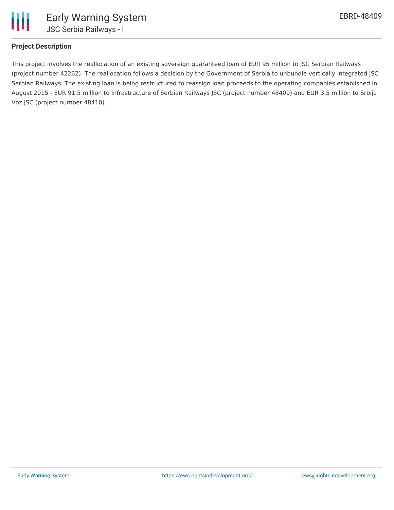

## **Project Description**

This project involves the reallocation of an existing sovereign guaranteed loan of EUR 95 million to JSC Serbian Railways (project number 42262). The reallocation follows a decision by the Government of Serbia to unbundle vertically integrated JSC Serbian Railways. The existing loan is being restructured to reassign loan proceeds to the operating companies established in August 2015 - EUR 91.5 million to Infrastructure of Serbian Railways JSC (project number 48409) and EUR 3.5 million to Srbija Voz JSC (project number 48410).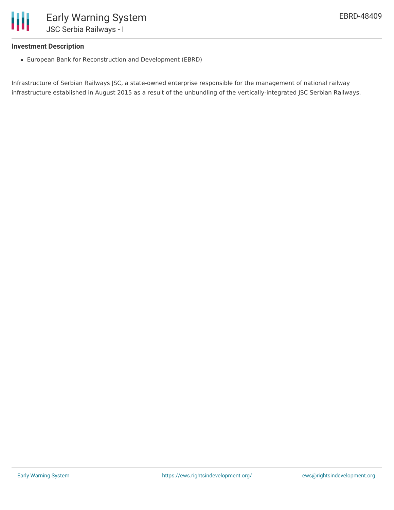

## **Investment Description**

European Bank for Reconstruction and Development (EBRD)

Infrastructure of Serbian Railways JSC, a state-owned enterprise responsible for the management of national railway infrastructure established in August 2015 as a result of the unbundling of the vertically-integrated JSC Serbian Railways.